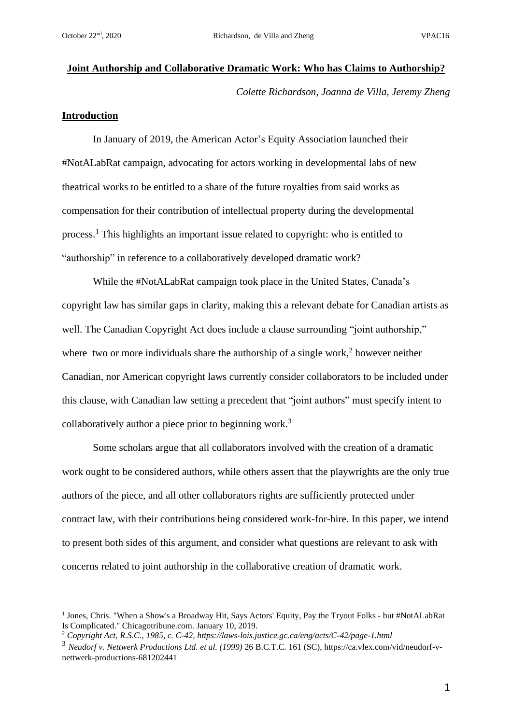### **Joint Authorship and Collaborative Dramatic Work: Who has Claims to Authorship?**

*Colette Richardson, Joanna de Villa, Jeremy Zheng*

#### **Introduction**

In January of 2019, the American Actor's Equity Association launched their #NotALabRat campaign, advocating for actors working in developmental labs of new theatrical works to be entitled to a share of the future royalties from said works as compensation for their contribution of intellectual property during the developmental process.<sup>1</sup> This highlights an important issue related to copyright: who is entitled to "authorship" in reference to a collaboratively developed dramatic work?

While the #NotALabRat campaign took place in the United States, Canada's copyright law has similar gaps in clarity, making this a relevant debate for Canadian artists as well. The Canadian Copyright Act does include a clause surrounding "joint authorship," where two or more individuals share the authorship of a single work,<sup>2</sup> however neither Canadian, nor American copyright laws currently consider collaborators to be included under this clause, with Canadian law setting a precedent that "joint authors" must specify intent to collaboratively author a piece prior to beginning work.<sup>3</sup>

Some scholars argue that all collaborators involved with the creation of a dramatic work ought to be considered authors, while others assert that the playwrights are the only true authors of the piece, and all other collaborators rights are sufficiently protected under contract law, with their contributions being considered work-for-hire. In this paper, we intend to present both sides of this argument, and consider what questions are relevant to ask with concerns related to joint authorship in the collaborative creation of dramatic work.

<sup>&</sup>lt;sup>1</sup> Jones, Chris. "When a Show's a Broadway Hit, Says Actors' Equity, Pay the Tryout Folks - but #NotALabRat Is Complicated." Chicagotribune.com. January 10, 2019.

<sup>2</sup> *Copyright Act, R.S.C., 1985, c. C-42, https://laws-lois.justice.gc.ca/eng/acts/C-42/page-1.html*

<sup>3</sup> *Neudorf v. Nettwerk Productions Ltd. et al. (1999)* 26 B.C.T.C. 161 (SC), https://ca.vlex.com/vid/neudorf-vnettwerk-productions-681202441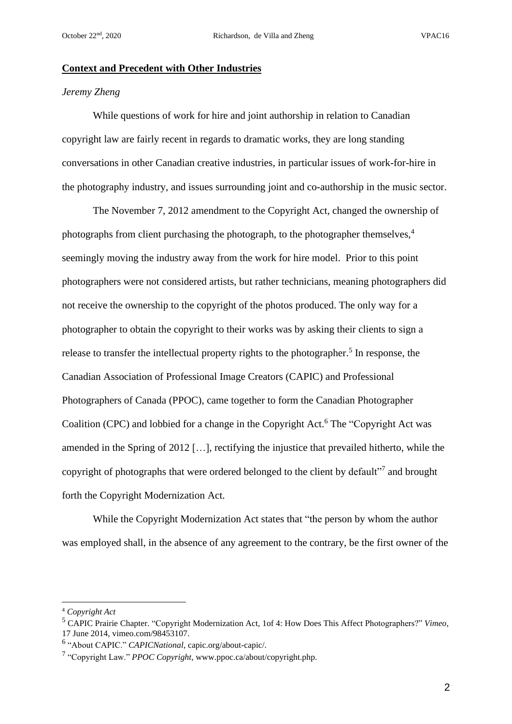### **Context and Precedent with Other Industries**

# *Jeremy Zheng*

While questions of work for hire and joint authorship in relation to Canadian copyright law are fairly recent in regards to dramatic works, they are long standing conversations in other Canadian creative industries, in particular issues of work-for-hire in the photography industry, and issues surrounding joint and co-authorship in the music sector.

The November 7, 2012 amendment to the Copyright Act, changed the ownership of photographs from client purchasing the photograph, to the photographer themselves, 4 seemingly moving the industry away from the work for hire model. Prior to this point photographers were not considered artists, but rather technicians, meaning photographers did not receive the ownership to the copyright of the photos produced. The only way for a photographer to obtain the copyright to their works was by asking their clients to sign a release to transfer the intellectual property rights to the photographer.<sup>5</sup> In response, the Canadian Association of Professional Image Creators (CAPIC) and Professional Photographers of Canada (PPOC), came together to form the Canadian Photographer Coalition (CPC) and lobbied for a change in the Copyright Act. <sup>6</sup> The "Copyright Act was amended in the Spring of 2012 […], rectifying the injustice that prevailed hitherto, while the copyright of photographs that were ordered belonged to the client by default"<sup>7</sup> and brought forth the Copyright Modernization Act.

While the Copyright Modernization Act states that "the person by whom the author was employed shall, in the absence of any agreement to the contrary, be the first owner of the

<sup>4</sup> *Copyright Act*

<sup>5</sup> CAPIC Prairie Chapter. "Copyright Modernization Act, 1of 4: How Does This Affect Photographers?" *Vimeo*, 17 June 2014, vimeo.com/98453107.

<sup>6</sup> "About CAPIC." *CAPICNational*, capic.org/about-capic/.

<sup>7</sup> "Copyright Law." *PPOC Copyright*, www.ppoc.ca/about/copyright.php.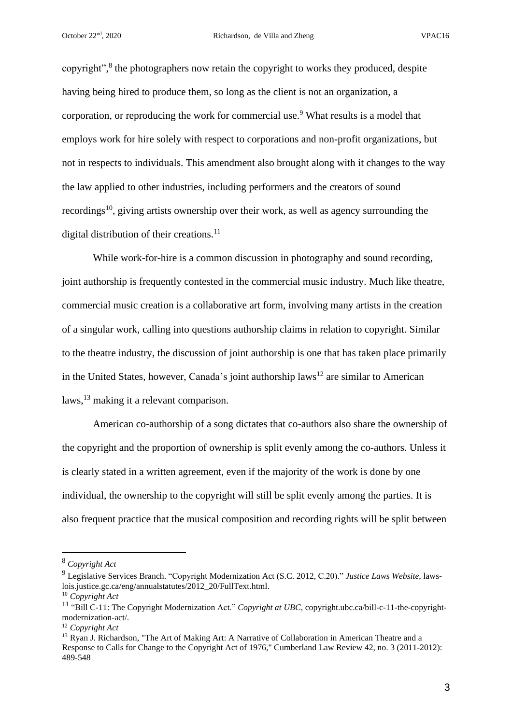copyright",<sup>8</sup> the photographers now retain the copyright to works they produced, despite having being hired to produce them, so long as the client is not an organization, a corporation, or reproducing the work for commercial use.<sup>9</sup> What results is a model that employs work for hire solely with respect to corporations and non-profit organizations, but not in respects to individuals. This amendment also brought along with it changes to the way the law applied to other industries, including performers and the creators of sound recordings<sup>10</sup>, giving artists ownership over their work, as well as agency surrounding the digital distribution of their creations.<sup>11</sup>

While work-for-hire is a common discussion in photography and sound recording, joint authorship is frequently contested in the commercial music industry. Much like theatre, commercial music creation is a collaborative art form, involving many artists in the creation of a singular work, calling into questions authorship claims in relation to copyright. Similar to the theatre industry, the discussion of joint authorship is one that has taken place primarily in the United States, however, Canada's joint authorship laws<sup>12</sup> are similar to American laws,  $^{13}$  making it a relevant comparison.

American co-authorship of a song dictates that co-authors also share the ownership of the copyright and the proportion of ownership is split evenly among the co-authors. Unless it is clearly stated in a written agreement, even if the majority of the work is done by one individual, the ownership to the copyright will still be split evenly among the parties. It is also frequent practice that the musical composition and recording rights will be split between

<sup>8</sup> *Copyright Act*

<sup>9</sup> Legislative Services Branch. "Copyright Modernization Act (S.C. 2012, C.20)." *Justice Laws Website*, lawslois.justice.gc.ca/eng/annualstatutes/2012\_20/FullText.html.

<sup>10</sup> *Copyright Act*

<sup>11</sup> "Bill C-11: The Copyright Modernization Act." *Copyright at UBC*, copyright.ubc.ca/bill-c-11-the-copyrightmodernization-act/.

<sup>12</sup> *Copyright Act*

<sup>&</sup>lt;sup>13</sup> Ryan J. Richardson, "The Art of Making Art: A Narrative of Collaboration in American Theatre and a Response to Calls for Change to the Copyright Act of 1976," Cumberland Law Review 42, no. 3 (2011-2012): 489-548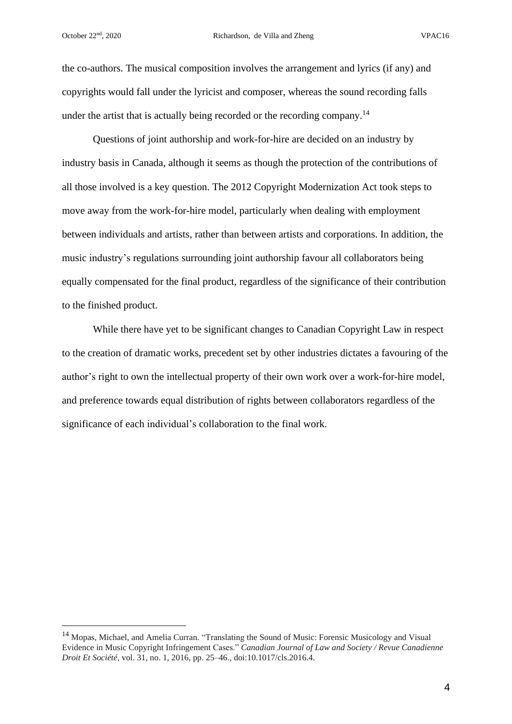the co-authors. The musical composition involves the arrangement and lyrics (if any) and copyrights would fall under the lyricist and composer, whereas the sound recording falls under the artist that is actually being recorded or the recording company.<sup>14</sup>

Questions of joint authorship and work-for-hire are decided on an industry by industry basis in Canada, although it seems as though the protection of the contributions of all those involved is a key question. The 2012 Copyright Modernization Act took steps to move away from the work-for-hire model, particularly when dealing with employment between individuals and artists, rather than between artists and corporations. In addition, the music industry's regulations surrounding joint authorship favour all collaborators being equally compensated for the final product, regardless of the significance of their contribution to the finished product.

While there have yet to be significant changes to Canadian Copyright Law in respect to the creation of dramatic works, precedent set by other industries dictates a favouring of the author's right to own the intellectual property of their own work over a work-for-hire model, and preference towards equal distribution of rights between collaborators regardless of the significance of each individual's collaboration to the final work.

<sup>&</sup>lt;sup>14</sup> Mopas, Michael, and Amelia Curran. "Translating the Sound of Music: Forensic Musicology and Visual Evidence in Music Copyright Infringement Cases." *Canadian Journal of Law and Society / Revue Canadienne Droit Et Société*, vol. 31, no. 1, 2016, pp. 25–46., doi:10.1017/cls.2016.4.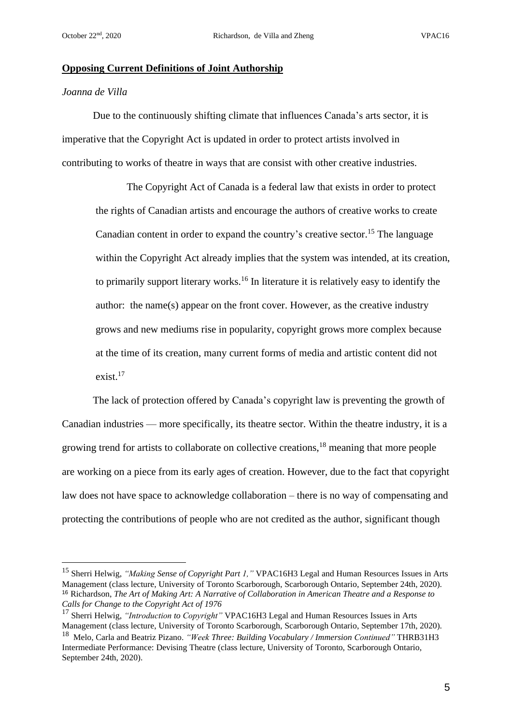#### **Opposing Current Definitions of Joint Authorship**

# *Joanna de Villa*

Due to the continuously shifting climate that influences Canada's arts sector, it is imperative that the Copyright Act is updated in order to protect artists involved in contributing to works of theatre in ways that are consist with other creative industries.

The Copyright Act of Canada is a federal law that exists in order to protect the rights of Canadian artists and encourage the authors of creative works to create Canadian content in order to expand the country's creative sector.<sup>15</sup> The language within the Copyright Act already implies that the system was intended, at its creation, to primarily support literary works.<sup>16</sup> In literature it is relatively easy to identify the author: the name(s) appear on the front cover. However, as the creative industry grows and new mediums rise in popularity, copyright grows more complex because at the time of its creation, many current forms of media and artistic content did not exist. $17$ 

The lack of protection offered by Canada's copyright law is preventing the growth of Canadian industries — more specifically, its theatre sector. Within the theatre industry, it is a growing trend for artists to collaborate on collective creations,<sup>18</sup> meaning that more people are working on a piece from its early ages of creation. However, due to the fact that copyright law does not have space to acknowledge collaboration – there is no way of compensating and protecting the contributions of people who are not credited as the author, significant though

<sup>15</sup> Sherri Helwig, *"Making Sense of Copyright Part 1,"* VPAC16H3 Legal and Human Resources Issues in Arts Management (class lecture, University of Toronto Scarborough, Scarborough Ontario, September 24th, 2020). <sup>16</sup> Richardson, *The Art of Making Art: A Narrative of Collaboration in American Theatre and a Response to Calls for Change to the Copyright Act of 1976*

<sup>17</sup> Sherri Helwig, *"Introduction to Copyright"* VPAC16H3 Legal and Human Resources Issues in Arts Management (class lecture, University of Toronto Scarborough, Scarborough Ontario, September 17th, 2020).

<sup>18</sup> Melo, Carla and Beatriz Pizano. *"Week Three: Building Vocabulary / Immersion Continued"* THRB31H3 Intermediate Performance: Devising Theatre (class lecture, University of Toronto, Scarborough Ontario, September 24th, 2020).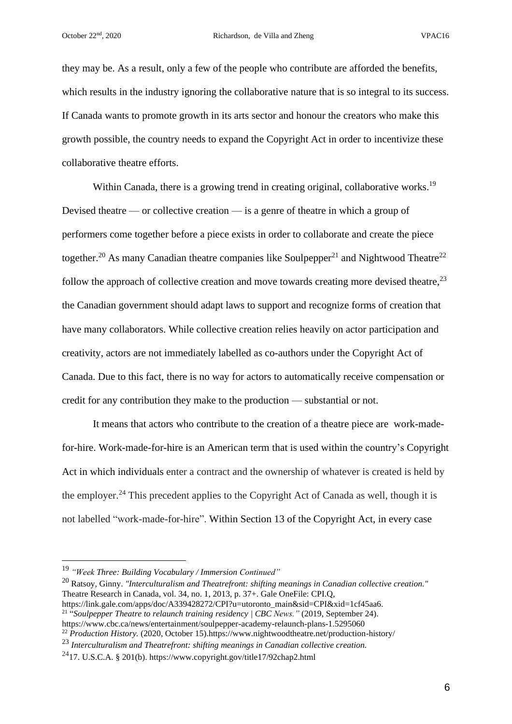they may be. As a result, only a few of the people who contribute are afforded the benefits, which results in the industry ignoring the collaborative nature that is so integral to its success. If Canada wants to promote growth in its arts sector and honour the creators who make this growth possible, the country needs to expand the Copyright Act in order to incentivize these collaborative theatre efforts.

Within Canada, there is a growing trend in creating original, collaborative works.<sup>19</sup> Devised theatre — or collective creation — is a genre of theatre in which a group of performers come together before a piece exists in order to collaborate and create the piece together.<sup>20</sup> As many Canadian theatre companies like Soulpepper<sup>21</sup> and Nightwood Theatre<sup>22</sup> follow the approach of collective creation and move towards creating more devised theatre,  $2<sup>3</sup>$ the Canadian government should adapt laws to support and recognize forms of creation that have many collaborators. While collective creation relies heavily on actor participation and creativity, actors are not immediately labelled as co-authors under the Copyright Act of Canada. Due to this fact, there is no way for actors to automatically receive compensation or credit for any contribution they make to the production — substantial or not.

It means that actors who contribute to the creation of a theatre piece are work-madefor-hire. Work-made-for-hire is an American term that is used within the country's Copyright Act in which individuals enter a contract and the ownership of whatever is created is held by the employer.<sup>24</sup> This precedent applies to the Copyright Act of Canada as well, though it is not labelled "work-made-for-hire". Within Section 13 of the Copyright Act, in every case

<sup>20</sup> Ratsoy, Ginny. *"Interculturalism and Theatrefront: shifting meanings in Canadian collective creation."* Theatre Research in Canada, vol. 34, no. 1, 2013, p. 37+. Gale OneFile: CPI.Q,

https://link.gale.com/apps/doc/A339428272/CPI?u=utoronto\_main&sid=CPI&xid=1cf45aa6. 21 "*Soulpepper Theatre to relaunch training residency | CBC News."* (2019, September 24). https://www.cbc.ca/news/entertainment/soulpepper-academy-relaunch-plans-1.5295060

<sup>22</sup> *Production History.* (2020, October 15).https://www.nightwoodtheatre.net/production-history/

<sup>19</sup> *"Week Three: Building Vocabulary / Immersion Continued"*

<sup>23</sup> *Interculturalism and Theatrefront: shifting meanings in Canadian collective creation.*

<sup>&</sup>lt;sup>24</sup>17. U.S.C.A. § 201(b). https://www.copyright.gov/title17/92chap2.html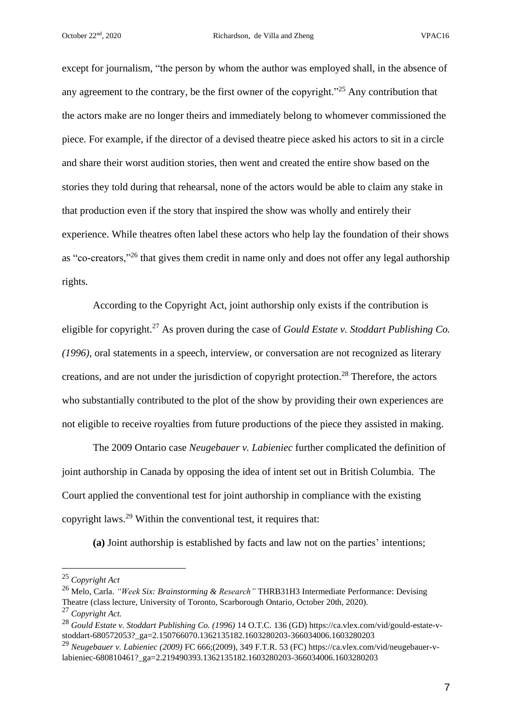except for journalism, "the person by whom the author was employed shall, in the absence of any agreement to the contrary, be the first owner of the copyright."<sup>25</sup> Any contribution that the actors make are no longer theirs and immediately belong to whomever commissioned the piece. For example, if the director of a devised theatre piece asked his actors to sit in a circle and share their worst audition stories, then went and created the entire show based on the stories they told during that rehearsal, none of the actors would be able to claim any stake in that production even if the story that inspired the show was wholly and entirely their experience. While theatres often label these actors who help lay the foundation of their shows as "co-creators,"<sup>26</sup> that gives them credit in name only and does not offer any legal authorship rights.

According to the Copyright Act, joint authorship only exists if the contribution is eligible for copyright.<sup>27</sup> As proven during the case of *Gould Estate v. Stoddart Publishing Co. (1996),* oral statements in a speech, interview, or conversation are not recognized as literary creations, and are not under the jurisdiction of copyright protection.<sup>28</sup> Therefore, the actors who substantially contributed to the plot of the show by providing their own experiences are not eligible to receive royalties from future productions of the piece they assisted in making.

The 2009 Ontario case *Neugebauer v. Labieniec* further complicated the definition of joint authorship in Canada by opposing the idea of intent set out in British Columbia. The Court applied the conventional test for joint authorship in compliance with the existing copyright laws.<sup>29</sup> Within the conventional test, it requires that:

**(a)** Joint authorship is established by facts and law not on the parties' intentions;

<sup>25</sup> *Copyright Act*

<sup>26</sup> Melo, Carla. *"Week Six: Brainstorming & Research"* THRB31H3 Intermediate Performance: Devising Theatre (class lecture, University of Toronto, Scarborough Ontario, October 20th, 2020).

<sup>27</sup> *Copyright Act.*

<sup>28</sup> *Gould Estate v. Stoddart Publishing Co. (1996)* 14 O.T.C. 136 (GD) https://ca.vlex.com/vid/gould-estate-vstoddart-680572053?\_ga=2.150766070.1362135182.1603280203-366034006.1603280203

<sup>29</sup> *Neugebauer v. Labieniec (2009)* FC 666;(2009), 349 F.T.R. 53 (FC) https://ca.vlex.com/vid/neugebauer-vlabieniec-680810461?\_ga=2.219490393.1362135182.1603280203-366034006.1603280203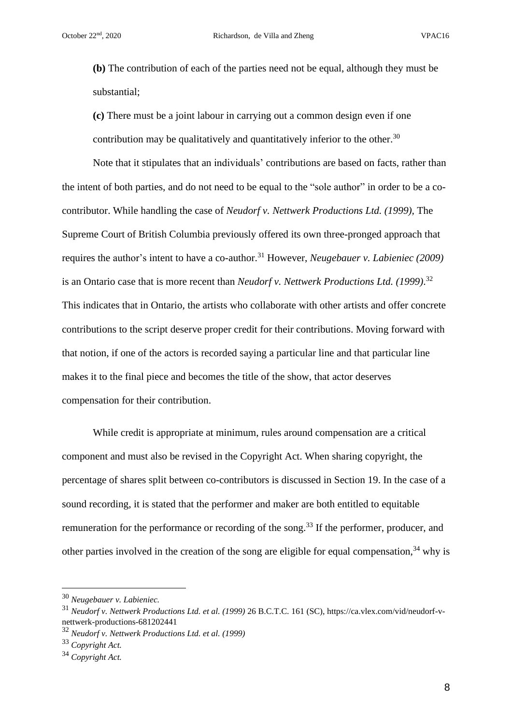**(b)** The contribution of each of the parties need not be equal, although they must be substantial;

**(c)** There must be a joint labour in carrying out a common design even if one contribution may be qualitatively and quantitatively inferior to the other.<sup>30</sup>

Note that it stipulates that an individuals' contributions are based on facts, rather than the intent of both parties, and do not need to be equal to the "sole author" in order to be a cocontributor. While handling the case of *Neudorf v. Nettwerk Productions Ltd. (1999),* The Supreme Court of British Columbia previously offered its own three-pronged approach that requires the author's intent to have a co-author.<sup>31</sup> However, *Neugebauer v. Labieniec (2009)* is an Ontario case that is more recent than *Neudorf v. Nettwerk Productions Ltd. (1999)*. 32 This indicates that in Ontario, the artists who collaborate with other artists and offer concrete contributions to the script deserve proper credit for their contributions. Moving forward with that notion, if one of the actors is recorded saying a particular line and that particular line makes it to the final piece and becomes the title of the show, that actor deserves compensation for their contribution.

While credit is appropriate at minimum, rules around compensation are a critical component and must also be revised in the Copyright Act. When sharing copyright, the percentage of shares split between co-contributors is discussed in Section 19. In the case of a sound recording, it is stated that the performer and maker are both entitled to equitable remuneration for the performance or recording of the song.<sup>33</sup> If the performer, producer, and other parties involved in the creation of the song are eligible for equal compensation,  $34$  why is

<sup>30</sup> *Neugebauer v. Labieniec.*

<sup>31</sup> *Neudorf v. Nettwerk Productions Ltd. et al. (1999)* 26 B.C.T.C. 161 (SC), https://ca.vlex.com/vid/neudorf-vnettwerk-productions-681202441

<sup>32</sup> *Neudorf v. Nettwerk Productions Ltd. et al. (1999)*

<sup>33</sup> *Copyright Act.*

<sup>34</sup> *Copyright Act.*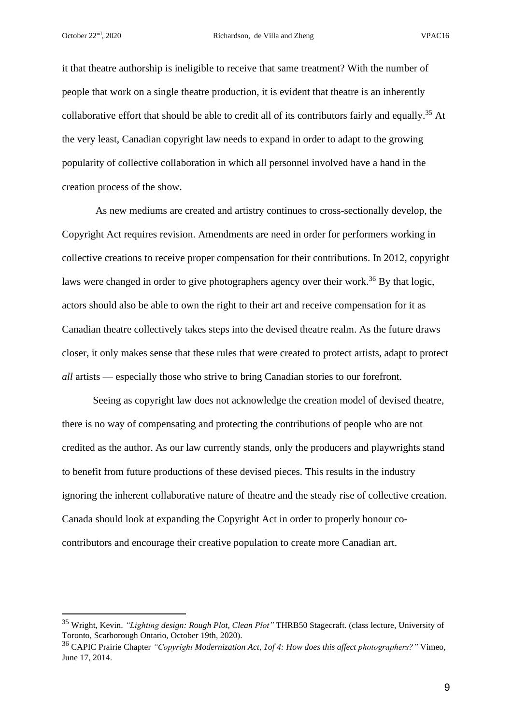it that theatre authorship is ineligible to receive that same treatment? With the number of people that work on a single theatre production, it is evident that theatre is an inherently collaborative effort that should be able to credit all of its contributors fairly and equally.<sup>35</sup> At the very least, Canadian copyright law needs to expand in order to adapt to the growing popularity of collective collaboration in which all personnel involved have a hand in the creation process of the show.

As new mediums are created and artistry continues to cross-sectionally develop, the Copyright Act requires revision. Amendments are need in order for performers working in collective creations to receive proper compensation for their contributions. In 2012, copyright laws were changed in order to give photographers agency over their work.<sup>36</sup> By that logic, actors should also be able to own the right to their art and receive compensation for it as Canadian theatre collectively takes steps into the devised theatre realm. As the future draws closer, it only makes sense that these rules that were created to protect artists, adapt to protect *all* artists — especially those who strive to bring Canadian stories to our forefront.

Seeing as copyright law does not acknowledge the creation model of devised theatre, there is no way of compensating and protecting the contributions of people who are not credited as the author. As our law currently stands, only the producers and playwrights stand to benefit from future productions of these devised pieces. This results in the industry ignoring the inherent collaborative nature of theatre and the steady rise of collective creation. Canada should look at expanding the Copyright Act in order to properly honour cocontributors and encourage their creative population to create more Canadian art.

<sup>35</sup> Wright, Kevin. *"Lighting design: Rough Plot, Clean Plot"* THRB50 Stagecraft. (class lecture, University of Toronto, Scarborough Ontario, October 19th, 2020).

<sup>36</sup> CAPIC Prairie [Chapter](https://vimeo.com/user29236559) *"Copyright Modernization Act, 1of 4: How does this affect photographers?"* Vimeo, June 17, 2014.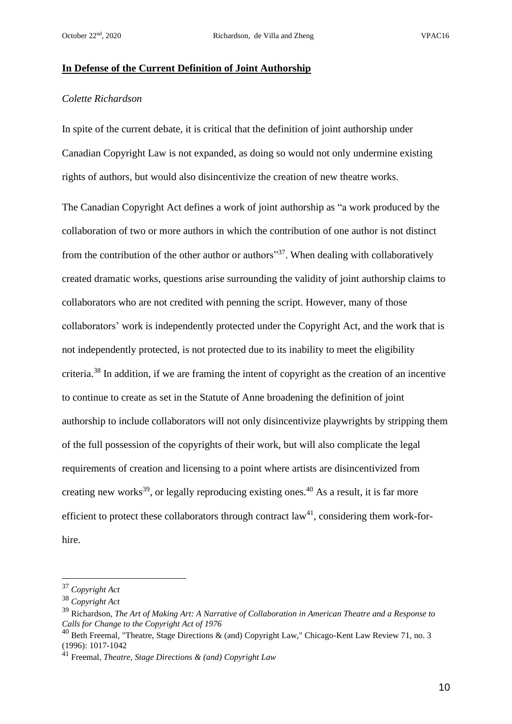### **In Defense of the Current Definition of Joint Authorship**

# *Colette Richardson*

In spite of the current debate, it is critical that the definition of joint authorship under Canadian Copyright Law is not expanded, as doing so would not only undermine existing rights of authors, but would also disincentivize the creation of new theatre works.

The Canadian Copyright Act defines a work of joint authorship as "a work produced by the collaboration of two or more authors in which the contribution of one author is not distinct from the contribution of the other author or authors"<sup>37</sup>. When dealing with collaboratively created dramatic works, questions arise surrounding the validity of joint authorship claims to collaborators who are not credited with penning the script. However, many of those collaborators' work is independently protected under the Copyright Act, and the work that is not independently protected, is not protected due to its inability to meet the eligibility criteria.<sup>38</sup> In addition, if we are framing the intent of copyright as the creation of an incentive to continue to create as set in the Statute of Anne broadening the definition of joint authorship to include collaborators will not only disincentivize playwrights by stripping them of the full possession of the copyrights of their work, but will also complicate the legal requirements of creation and licensing to a point where artists are disincentivized from creating new works<sup>39</sup>, or legally reproducing existing ones.<sup>40</sup> As a result, it is far more efficient to protect these collaborators through contract  $law<sup>41</sup>$ , considering them work-forhire.

<sup>37</sup> *Copyright Act*

<sup>38</sup> *Copyright Act*

<sup>39</sup> Richardson, *The Art of Making Art: A Narrative of Collaboration in American Theatre and a Response to Calls for Change to the Copyright Act of 1976*

<sup>40</sup> Beth Freemal, "Theatre, Stage Directions & (and) Copyright Law," Chicago-Kent Law Review 71, no. 3 (1996): 1017-1042

<sup>41</sup> Freemal, *Theatre, Stage Directions & (and) Copyright Law*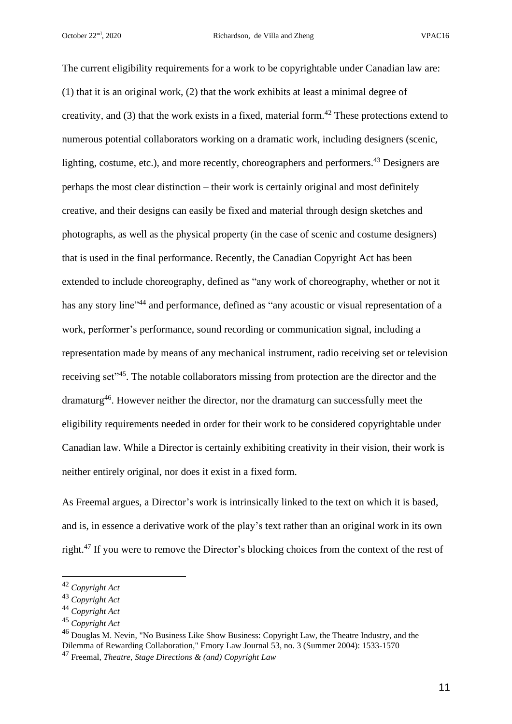The current eligibility requirements for a work to be copyrightable under Canadian law are: (1) that it is an original work, (2) that the work exhibits at least a minimal degree of creativity, and  $(3)$  that the work exists in a fixed, material form.<sup>42</sup> These protections extend to numerous potential collaborators working on a dramatic work, including designers (scenic, lighting, costume, etc.), and more recently, choreographers and performers.<sup>43</sup> Designers are perhaps the most clear distinction – their work is certainly original and most definitely creative, and their designs can easily be fixed and material through design sketches and photographs, as well as the physical property (in the case of scenic and costume designers) that is used in the final performance. Recently, the Canadian Copyright Act has been extended to include choreography, defined as "any work of choreography, whether or not it has any story line"<sup>44</sup> and performance, defined as "any acoustic or visual representation of a work, performer's performance, sound recording or communication signal, including a representation made by means of any mechanical instrument, radio receiving set or television receiving set<sup>145</sup>. The notable collaborators missing from protection are the director and the dramaturg<sup>46</sup>. However neither the director, nor the dramaturg can successfully meet the eligibility requirements needed in order for their work to be considered copyrightable under Canadian law. While a Director is certainly exhibiting creativity in their vision, their work is neither entirely original, nor does it exist in a fixed form.

As Freemal argues, a Director's work is intrinsically linked to the text on which it is based, and is, in essence a derivative work of the play's text rather than an original work in its own right.<sup>47</sup> If you were to remove the Director's blocking choices from the context of the rest of

<sup>42</sup> *Copyright Act*

<sup>43</sup> *Copyright Act*

<sup>44</sup> *Copyright Act*

<sup>45</sup> *Copyright Act*

<sup>&</sup>lt;sup>46</sup> Douglas M. Nevin, "No Business Like Show Business: Copyright Law, the Theatre Industry, and the Dilemma of Rewarding Collaboration," Emory Law Journal 53, no. 3 (Summer 2004): 1533-1570

<sup>47</sup> Freemal, *Theatre, Stage Directions & (and) Copyright Law*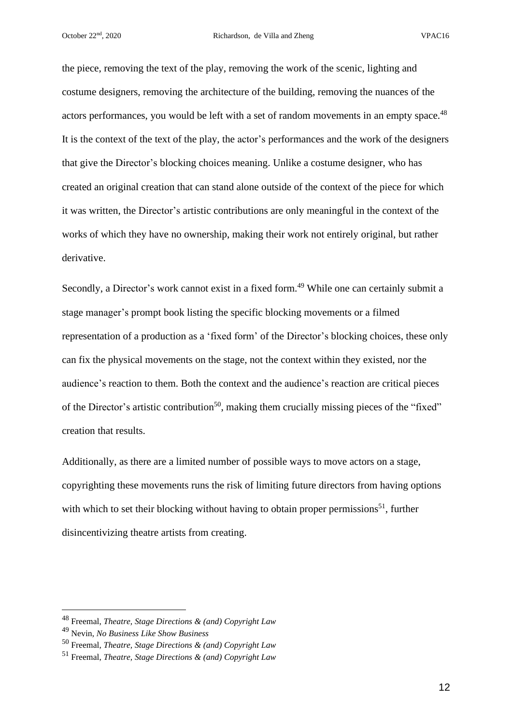the piece, removing the text of the play, removing the work of the scenic, lighting and costume designers, removing the architecture of the building, removing the nuances of the actors performances, you would be left with a set of random movements in an empty space.<sup>48</sup> It is the context of the text of the play, the actor's performances and the work of the designers that give the Director's blocking choices meaning. Unlike a costume designer, who has created an original creation that can stand alone outside of the context of the piece for which it was written, the Director's artistic contributions are only meaningful in the context of the works of which they have no ownership, making their work not entirely original, but rather derivative.

Secondly, a Director's work cannot exist in a fixed form.<sup>49</sup> While one can certainly submit a stage manager's prompt book listing the specific blocking movements or a filmed representation of a production as a 'fixed form' of the Director's blocking choices, these only can fix the physical movements on the stage, not the context within they existed, nor the audience's reaction to them. Both the context and the audience's reaction are critical pieces of the Director's artistic contribution<sup>50</sup>, making them crucially missing pieces of the "fixed" creation that results.

Additionally, as there are a limited number of possible ways to move actors on a stage, copyrighting these movements runs the risk of limiting future directors from having options with which to set their blocking without having to obtain proper permissions<sup>51</sup>, further disincentivizing theatre artists from creating.

<sup>48</sup> Freemal, *Theatre, Stage Directions & (and) Copyright Law*

<sup>49</sup> Nevin, *No Business Like Show Business*

<sup>50</sup> Freemal, *Theatre, Stage Directions & (and) Copyright Law*

<sup>51</sup> Freemal, *Theatre, Stage Directions & (and) Copyright Law*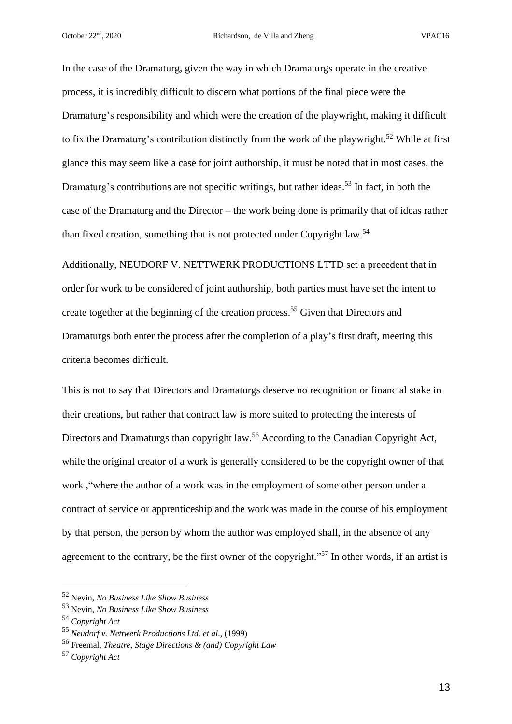In the case of the Dramaturg, given the way in which Dramaturgs operate in the creative process, it is incredibly difficult to discern what portions of the final piece were the Dramaturg's responsibility and which were the creation of the playwright, making it difficult to fix the Dramaturg's contribution distinctly from the work of the playwright.<sup>52</sup> While at first glance this may seem like a case for joint authorship, it must be noted that in most cases, the Dramaturg's contributions are not specific writings, but rather ideas.<sup>53</sup> In fact, in both the case of the Dramaturg and the Director – the work being done is primarily that of ideas rather than fixed creation, something that is not protected under Copyright law.<sup>54</sup>

Additionally, NEUDORF V. NETTWERK PRODUCTIONS LTTD set a precedent that in order for work to be considered of joint authorship, both parties must have set the intent to create together at the beginning of the creation process.<sup>55</sup> Given that Directors and Dramaturgs both enter the process after the completion of a play's first draft, meeting this criteria becomes difficult.

This is not to say that Directors and Dramaturgs deserve no recognition or financial stake in their creations, but rather that contract law is more suited to protecting the interests of Directors and Dramaturgs than copyright law.<sup>56</sup> According to the Canadian Copyright Act, while the original creator of a work is generally considered to be the copyright owner of that work ,"where the author of a work was in the employment of some other person under a contract of service or apprenticeship and the work was made in the course of his employment by that person, the person by whom the author was employed shall, in the absence of any agreement to the contrary, be the first owner of the copyright."<sup>57</sup> In other words, if an artist is

<sup>52</sup> Nevin, *No Business Like Show Business*

<sup>53</sup> Nevin, *No Business Like Show Business*

<sup>54</sup> *Copyright Act*

<sup>55</sup> *Neudorf v. Nettwerk Productions Ltd. et al*., (1999)

<sup>56</sup> Freemal, *Theatre, Stage Directions & (and) Copyright Law*

<sup>57</sup> *Copyright Act*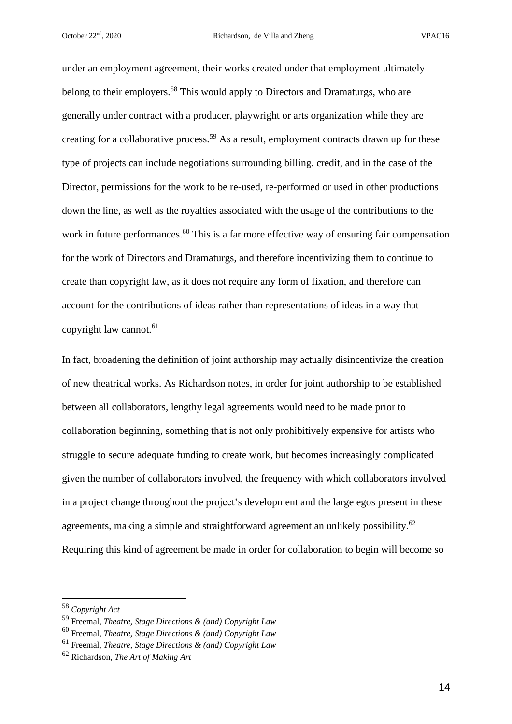under an employment agreement, their works created under that employment ultimately belong to their employers.<sup>58</sup> This would apply to Directors and Dramaturgs, who are generally under contract with a producer, playwright or arts organization while they are creating for a collaborative process.<sup>59</sup> As a result, employment contracts drawn up for these type of projects can include negotiations surrounding billing, credit, and in the case of the Director, permissions for the work to be re-used, re-performed or used in other productions down the line, as well as the royalties associated with the usage of the contributions to the work in future performances.<sup>60</sup> This is a far more effective way of ensuring fair compensation for the work of Directors and Dramaturgs, and therefore incentivizing them to continue to create than copyright law, as it does not require any form of fixation, and therefore can account for the contributions of ideas rather than representations of ideas in a way that copyright law cannot.<sup>61</sup>

In fact, broadening the definition of joint authorship may actually disincentivize the creation of new theatrical works. As Richardson notes, in order for joint authorship to be established between all collaborators, lengthy legal agreements would need to be made prior to collaboration beginning, something that is not only prohibitively expensive for artists who struggle to secure adequate funding to create work, but becomes increasingly complicated given the number of collaborators involved, the frequency with which collaborators involved in a project change throughout the project's development and the large egos present in these agreements, making a simple and straightforward agreement an unlikely possibility.<sup>62</sup> Requiring this kind of agreement be made in order for collaboration to begin will become so

<sup>58</sup> *Copyright Act*

<sup>59</sup> Freemal, *Theatre, Stage Directions & (and) Copyright Law*

<sup>60</sup> Freemal, *Theatre, Stage Directions & (and) Copyright Law*

<sup>61</sup> Freemal, *Theatre, Stage Directions & (and) Copyright Law*

<sup>62</sup> Richardson, *The Art of Making Art*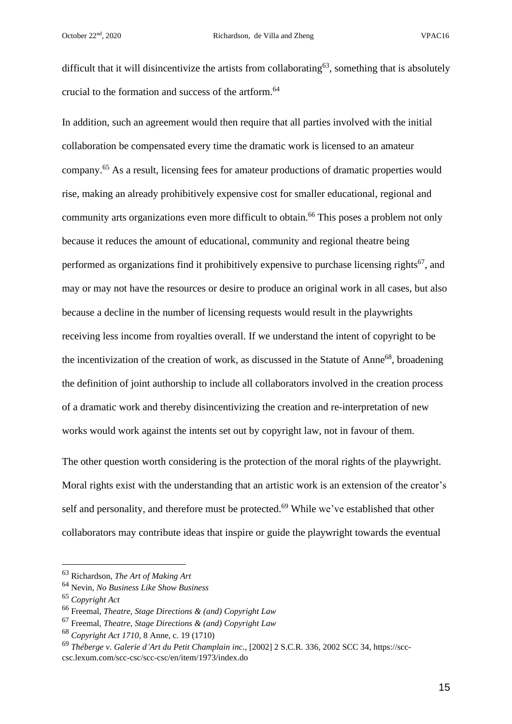difficult that it will disincentivize the artists from collaborating<sup>63</sup>, something that is absolutely crucial to the formation and success of the artform.<sup>64</sup>

In addition, such an agreement would then require that all parties involved with the initial collaboration be compensated every time the dramatic work is licensed to an amateur company.<sup>65</sup> As a result, licensing fees for amateur productions of dramatic properties would rise, making an already prohibitively expensive cost for smaller educational, regional and community arts organizations even more difficult to obtain.<sup>66</sup> This poses a problem not only because it reduces the amount of educational, community and regional theatre being performed as organizations find it prohibitively expensive to purchase licensing rights<sup>67</sup>, and may or may not have the resources or desire to produce an original work in all cases, but also because a decline in the number of licensing requests would result in the playwrights receiving less income from royalties overall. If we understand the intent of copyright to be the incentivization of the creation of work, as discussed in the Statute of Anne<sup>68</sup>, broadening the definition of joint authorship to include all collaborators involved in the creation process of a dramatic work and thereby disincentivizing the creation and re-interpretation of new works would work against the intents set out by copyright law, not in favour of them.

The other question worth considering is the protection of the moral rights of the playwright. Moral rights exist with the understanding that an artistic work is an extension of the creator's self and personality, and therefore must be protected.<sup>69</sup> While we've established that other collaborators may contribute ideas that inspire or guide the playwright towards the eventual

<sup>63</sup> Richardson, *The Art of Making Art*

<sup>64</sup> Nevin, *No Business Like Show Business*

<sup>65</sup> *Copyright Act*

<sup>66</sup> Freemal, *Theatre, Stage Directions & (and) Copyright Law*

<sup>67</sup> Freemal, *Theatre, Stage Directions & (and) Copyright Law*

<sup>68</sup> *Copyright Act 1710,* 8 Anne, c. 19 (1710)

<sup>69</sup> *Théberge v. Galerie d'Art du Petit Champlain inc.,* [2002] 2 S.C.R. 336, 2002 SCC 34, https://scccsc.lexum.com/scc-csc/scc-csc/en/item/1973/index.do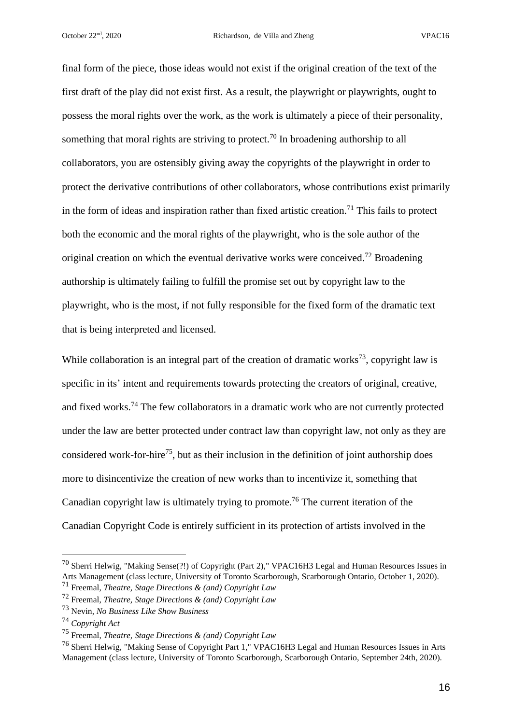final form of the piece, those ideas would not exist if the original creation of the text of the first draft of the play did not exist first. As a result, the playwright or playwrights, ought to possess the moral rights over the work, as the work is ultimately a piece of their personality, something that moral rights are striving to protect.<sup>70</sup> In broadening authorship to all collaborators, you are ostensibly giving away the copyrights of the playwright in order to protect the derivative contributions of other collaborators, whose contributions exist primarily in the form of ideas and inspiration rather than fixed artistic creation.<sup>71</sup> This fails to protect both the economic and the moral rights of the playwright, who is the sole author of the original creation on which the eventual derivative works were conceived.<sup>72</sup> Broadening authorship is ultimately failing to fulfill the promise set out by copyright law to the playwright, who is the most, if not fully responsible for the fixed form of the dramatic text that is being interpreted and licensed.

While collaboration is an integral part of the creation of dramatic works<sup>73</sup>, copyright law is specific in its' intent and requirements towards protecting the creators of original, creative, and fixed works.<sup>74</sup> The few collaborators in a dramatic work who are not currently protected under the law are better protected under contract law than copyright law, not only as they are considered work-for-hire<sup>75</sup>, but as their inclusion in the definition of joint authorship does more to disincentivize the creation of new works than to incentivize it, something that Canadian copyright law is ultimately trying to promote.<sup>76</sup> The current iteration of the Canadian Copyright Code is entirely sufficient in its protection of artists involved in the

<sup>70</sup> Sherri Helwig, "Making Sense(?!) of Copyright (Part 2)," VPAC16H3 Legal and Human Resources Issues in Arts Management (class lecture, University of Toronto Scarborough, Scarborough Ontario, October 1, 2020).

<sup>71</sup> Freemal, *Theatre, Stage Directions & (and) Copyright Law*

<sup>72</sup> Freemal, *Theatre, Stage Directions & (and) Copyright Law*

<sup>73</sup> Nevin, *No Business Like Show Business*

<sup>74</sup> *Copyright Act*

<sup>75</sup> Freemal, *Theatre, Stage Directions & (and) Copyright Law*

<sup>76</sup> Sherri Helwig, "Making Sense of Copyright Part 1," VPAC16H3 Legal and Human Resources Issues in Arts Management (class lecture, University of Toronto Scarborough, Scarborough Ontario, September 24th, 2020).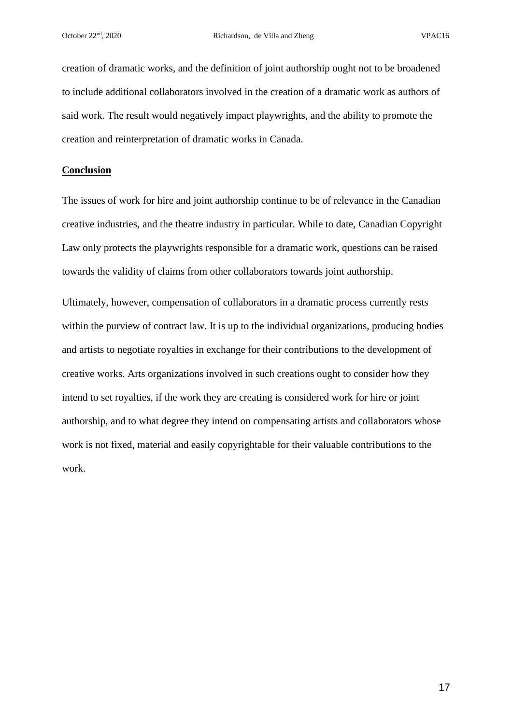creation of dramatic works, and the definition of joint authorship ought not to be broadened to include additional collaborators involved in the creation of a dramatic work as authors of said work. The result would negatively impact playwrights, and the ability to promote the creation and reinterpretation of dramatic works in Canada.

## **Conclusion**

The issues of work for hire and joint authorship continue to be of relevance in the Canadian creative industries, and the theatre industry in particular. While to date, Canadian Copyright Law only protects the playwrights responsible for a dramatic work, questions can be raised towards the validity of claims from other collaborators towards joint authorship.

Ultimately, however, compensation of collaborators in a dramatic process currently rests within the purview of contract law. It is up to the individual organizations, producing bodies and artists to negotiate royalties in exchange for their contributions to the development of creative works. Arts organizations involved in such creations ought to consider how they intend to set royalties, if the work they are creating is considered work for hire or joint authorship, and to what degree they intend on compensating artists and collaborators whose work is not fixed, material and easily copyrightable for their valuable contributions to the work.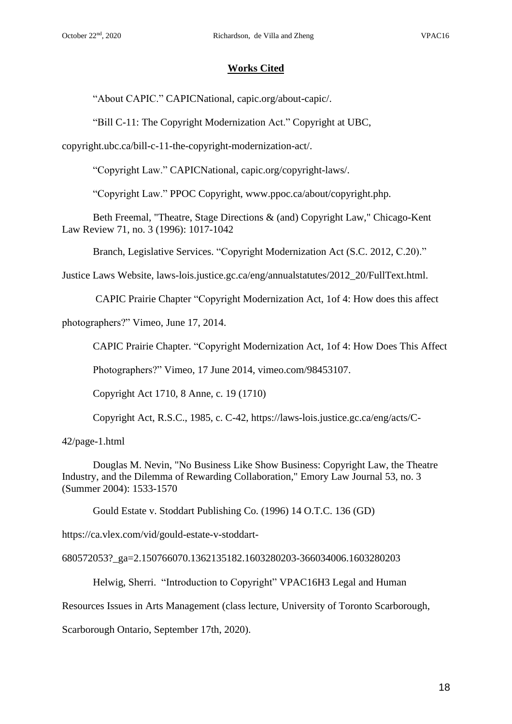## **Works Cited**

"About CAPIC." CAPICNational, capic.org/about-capic/.

"Bill C-11: The Copyright Modernization Act." Copyright at UBC,

copyright.ubc.ca/bill-c-11-the-copyright-modernization-act/.

"Copyright Law." CAPICNational, capic.org/copyright-laws/.

"Copyright Law." PPOC Copyright, www.ppoc.ca/about/copyright.php.

Beth Freemal, "Theatre, Stage Directions & (and) Copyright Law," Chicago-Kent Law Review 71, no. 3 (1996): 1017-1042

Branch, Legislative Services. "Copyright Modernization Act (S.C. 2012, C.20)."

Justice Laws Website, laws-lois.justice.gc.ca/eng/annualstatutes/2012\_20/FullText.html.

CAPIC Prairie Chapter "Copyright Modernization Act, 1of 4: How does this affect

photographers?" Vimeo, June 17, 2014.

CAPIC Prairie Chapter. "Copyright Modernization Act, 1of 4: How Does This Affect

Photographers?" Vimeo, 17 June 2014, vimeo.com/98453107.

Copyright Act 1710*,* 8 Anne, c. 19 (1710)

Copyright Act, R.S.C., 1985, c. C-42, https://laws-lois.justice.gc.ca/eng/acts/C-

42/page-1.html

Douglas M. Nevin, "No Business Like Show Business: Copyright Law, the Theatre Industry, and the Dilemma of Rewarding Collaboration," Emory Law Journal 53, no. 3 (Summer 2004): 1533-1570

Gould Estate v. Stoddart Publishing Co. (1996) 14 O.T.C. 136 (GD)

https://ca.vlex.com/vid/gould-estate-v-stoddart-

680572053?\_ga=2.150766070.1362135182.1603280203-366034006.1603280203

Helwig, Sherri. "Introduction to Copyright" VPAC16H3 Legal and Human

Resources Issues in Arts Management (class lecture, University of Toronto Scarborough,

Scarborough Ontario, September 17th, 2020).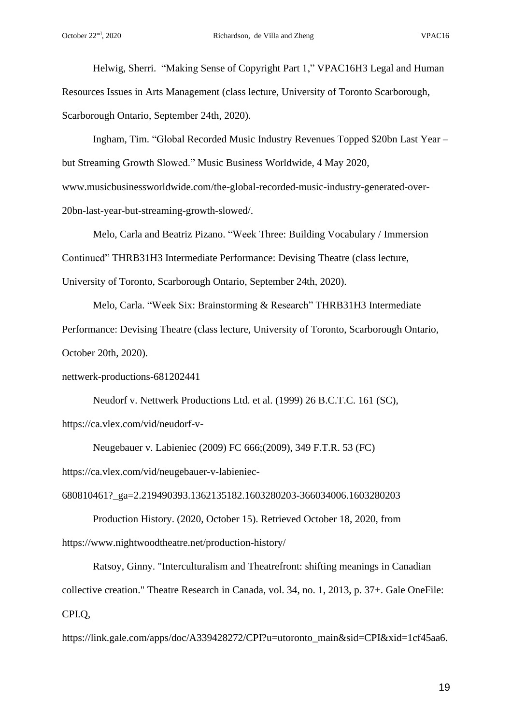Helwig, Sherri. "Making Sense of Copyright Part 1," VPAC16H3 Legal and Human Resources Issues in Arts Management (class lecture, University of Toronto Scarborough, Scarborough Ontario, September 24th, 2020).

Ingham, Tim. "Global Recorded Music Industry Revenues Topped \$20bn Last Year – but Streaming Growth Slowed." Music Business Worldwide, 4 May 2020, www.musicbusinessworldwide.com/the-global-recorded-music-industry-generated-over-20bn-last-year-but-streaming-growth-slowed/.

Melo, Carla and Beatriz Pizano. "Week Three: Building Vocabulary / Immersion Continued" THRB31H3 Intermediate Performance: Devising Theatre (class lecture, University of Toronto, Scarborough Ontario, September 24th, 2020).

Melo, Carla. "Week Six: Brainstorming & Research" THRB31H3 Intermediate Performance: Devising Theatre (class lecture, University of Toronto, Scarborough Ontario, October 20th, 2020).

nettwerk-productions-681202441

Neudorf v. Nettwerk Productions Ltd. et al. (1999) 26 B.C.T.C. 161 (SC), https://ca.vlex.com/vid/neudorf-v-

Neugebauer v. Labieniec (2009) FC 666;(2009), 349 F.T.R. 53 (FC) https://ca.vlex.com/vid/neugebauer-v-labieniec-

680810461?\_ga=2.219490393.1362135182.1603280203-366034006.1603280203

Production History. (2020, October 15). Retrieved October 18, 2020, from https://www.nightwoodtheatre.net/production-history/

Ratsoy, Ginny. "Interculturalism and Theatrefront: shifting meanings in Canadian collective creation." Theatre Research in Canada, vol. 34, no. 1, 2013, p. 37+. Gale OneFile: CPI.Q,

https://link.gale.com/apps/doc/A339428272/CPI?u=utoronto\_main&sid=CPI&xid=1cf45aa6.